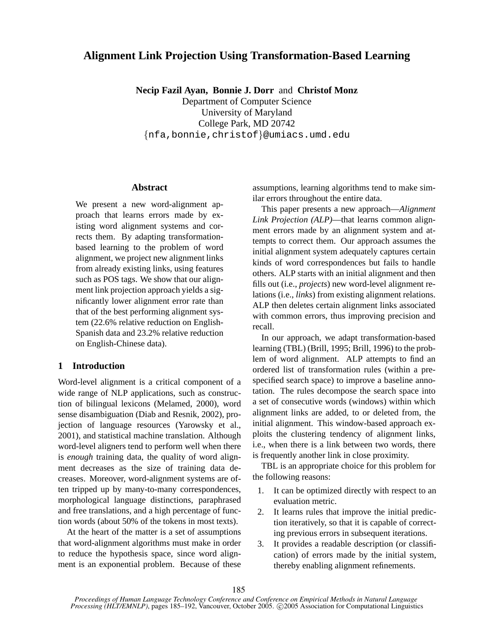# **Alignment Link Projection Using Transformation-Based Learning**

**Necip Fazil Ayan, Bonnie J. Dorr** and **Christof Monz**

Department of Computer Science University of Maryland College Park, MD 20742 {nfa,bonnie,christof}@umiacs.umd.edu

# **Abstract**

We present a new word-alignment approach that learns errors made by existing word alignment systems and corrects them. By adapting transformationbased learning to the problem of word alignment, we project new alignment links from already existing links, using features such as POS tags. We show that our alignment link projection approach yields a significantly lower alignment error rate than that of the best performing alignment system (22.6% relative reduction on English-Spanish data and 23.2% relative reduction on English-Chinese data).

# **1 Introduction**

Word-level alignment is a critical component of a wide range of NLP applications, such as construction of bilingual lexicons (Melamed, 2000), word sense disambiguation (Diab and Resnik, 2002), projection of language resources (Yarowsky et al., 2001), and statistical machine translation. Although word-level aligners tend to perform well when there is *enough* training data, the quality of word alignment decreases as the size of training data decreases. Moreover, word-alignment systems are often tripped up by many-to-many correspondences, morphological language distinctions, paraphrased and free translations, and a high percentage of function words (about 50% of the tokens in most texts).

At the heart of the matter is a set of assumptions that word-alignment algorithms must make in order to reduce the hypothesis space, since word alignment is an exponential problem. Because of these assumptions, learning algorithms tend to make similar errors throughout the entire data.

This paper presents a new approach—*Alignment Link Projection (ALP)*—that learns common alignment errors made by an alignment system and attempts to correct them. Our approach assumes the initial alignment system adequately captures certain kinds of word correspondences but fails to handle others. ALP starts with an initial alignment and then fills out (i.e., *projects*) new word-level alignment relations (i.e., *links*) from existing alignment relations. ALP then deletes certain alignment links associated with common errors, thus improving precision and recall.

In our approach, we adapt transformation-based learning (TBL) (Brill, 1995; Brill, 1996) to the problem of word alignment. ALP attempts to find an ordered list of transformation rules (within a prespecified search space) to improve a baseline annotation. The rules decompose the search space into a set of consecutive words (windows) within which alignment links are added, to or deleted from, the initial alignment. This window-based approach exploits the clustering tendency of alignment links, i.e., when there is a link between two words, there is frequently another link in close proximity.

TBL is an appropriate choice for this problem for the following reasons:

- 1. It can be optimized directly with respect to an evaluation metric.
- 2. It learns rules that improve the initial prediction iteratively, so that it is capable of correcting previous errors in subsequent iterations.
- 3. It provides a readable description (or classification) of errors made by the initial system, thereby enabling alignment refinements.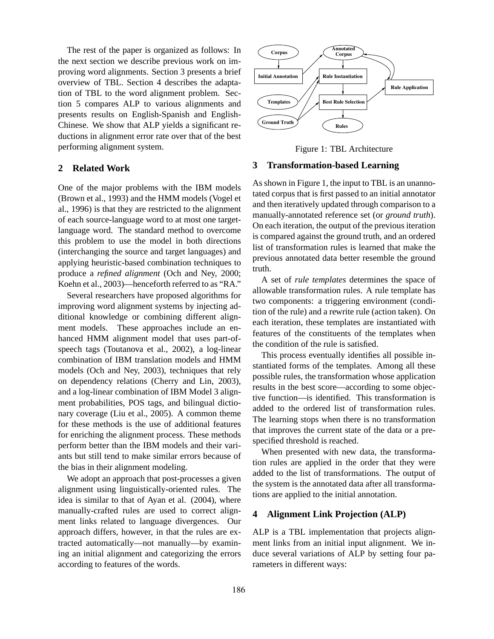The rest of the paper is organized as follows: In the next section we describe previous work on improving word alignments. Section 3 presents a brief overview of TBL. Section 4 describes the adaptation of TBL to the word alignment problem. Section 5 compares ALP to various alignments and presents results on English-Spanish and English-Chinese. We show that ALP yields a significant reductions in alignment error rate over that of the best performing alignment system.

# **2 Related Work**

One of the major problems with the IBM models (Brown et al., 1993) and the HMM models (Vogel et al., 1996) is that they are restricted to the alignment of each source-language word to at most one targetlanguage word. The standard method to overcome this problem to use the model in both directions (interchanging the source and target languages) and applying heuristic-based combination techniques to produce a *refined alignment* (Och and Ney, 2000; Koehn et al., 2003)—henceforth referred to as "RA."

Several researchers have proposed algorithms for improving word alignment systems by injecting additional knowledge or combining different alignment models. These approaches include an enhanced HMM alignment model that uses part-ofspeech tags (Toutanova et al., 2002), a log-linear combination of IBM translation models and HMM models (Och and Ney, 2003), techniques that rely on dependency relations (Cherry and Lin, 2003), and a log-linear combination of IBM Model 3 alignment probabilities, POS tags, and bilingual dictionary coverage (Liu et al., 2005). A common theme for these methods is the use of additional features for enriching the alignment process. These methods perform better than the IBM models and their variants but still tend to make similar errors because of the bias in their alignment modeling.

We adopt an approach that post-processes a given alignment using linguistically-oriented rules. The idea is similar to that of Ayan et al. (2004), where manually-crafted rules are used to correct alignment links related to language divergences. Our approach differs, however, in that the rules are extracted automatically—not manually—by examining an initial alignment and categorizing the errors according to features of the words.



Figure 1: TBL Architecture

## **3 Transformation-based Learning**

As shown in Figure 1, the input to TBL is an unannotated corpus that is first passed to an initial annotator and then iteratively updated through comparison to a manually-annotated reference set (or *ground truth*). On each iteration, the output of the previous iteration is compared against the ground truth, and an ordered list of transformation rules is learned that make the previous annotated data better resemble the ground truth.

A set of *rule templates* determines the space of allowable transformation rules. A rule template has two components: a triggering environment (condition of the rule) and a rewrite rule (action taken). On each iteration, these templates are instantiated with features of the constituents of the templates when the condition of the rule is satisfied.

This process eventually identifies all possible instantiated forms of the templates. Among all these possible rules, the transformation whose application results in the best score—according to some objective function—is identified. This transformation is added to the ordered list of transformation rules. The learning stops when there is no transformation that improves the current state of the data or a prespecified threshold is reached.

When presented with new data, the transformation rules are applied in the order that they were added to the list of transformations. The output of the system is the annotated data after all transformations are applied to the initial annotation.

# **4 Alignment Link Projection (ALP)**

ALP is a TBL implementation that projects alignment links from an initial input alignment. We induce several variations of ALP by setting four parameters in different ways: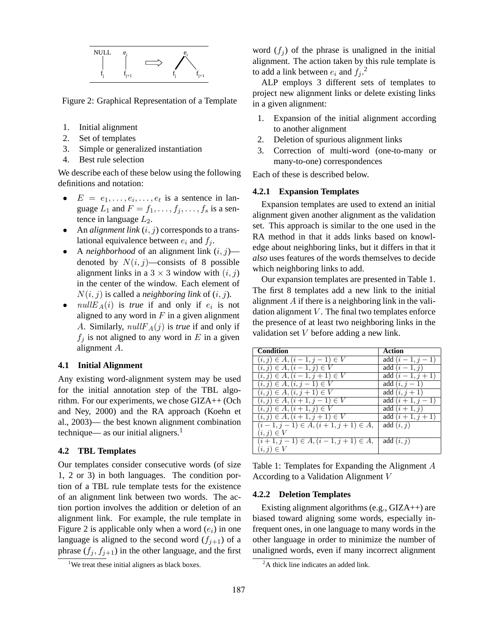

Figure 2: Graphical Representation of a Template

- 1. Initial alignment
- 2. Set of templates
- 3. Simple or generalized instantiation
- 4. Best rule selection

We describe each of these below using the following definitions and notation:

- $E = e_1, \ldots, e_i, \ldots, e_t$  is a sentence in language  $L_1$  and  $F = f_1, \ldots, f_j, \ldots, f_s$  is a sentence in language  $L_2$ .
- An *alignment link*  $(i, j)$  corresponds to a translational equivalence between  $e_i$  and  $f_i$ .
- A *neighborhood* of an alignment link  $(i, j)$  denoted by  $N(i, j)$ —consists of 8 possible alignment links in a  $3 \times 3$  window with  $(i, j)$ in the center of the window. Each element of  $N(i, j)$  is called a *neighboring link* of  $(i, j)$ .
- $nullE_A(i)$  is *true* if and only if  $e_i$  is not aligned to any word in  $F$  in a given alignment A. Similarly,  $nullF_A(j)$  is *true* if and only if  $f_i$  is not aligned to any word in E in a given alignment A.

## **4.1 Initial Alignment**

Any existing word-alignment system may be used for the initial annotation step of the TBL algorithm. For our experiments, we chose GIZA++ (Och and Ney, 2000) and the RA approach (Koehn et al., 2003)— the best known alignment combination technique— as our initial aligners. $<sup>1</sup>$ </sup>

## **4.2 TBL Templates**

Our templates consider consecutive words (of size 1, 2 or 3) in both languages. The condition portion of a TBL rule template tests for the existence of an alignment link between two words. The action portion involves the addition or deletion of an alignment link. For example, the rule template in Figure 2 is applicable only when a word  $(e_i)$  in one language is aligned to the second word  $(f_{i+1})$  of a phrase  $(f_j, f_{j+1})$  in the other language, and the first

word  $(f_i)$  of the phrase is unaligned in the initial alignment. The action taken by this rule template is to add a link between  $e_i$  and  $f_j$ .<sup>2</sup>

ALP employs 3 different sets of templates to project new alignment links or delete existing links in a given alignment:

- 1. Expansion of the initial alignment according to another alignment
- 2. Deletion of spurious alignment links
- 3. Correction of multi-word (one-to-many or many-to-one) correspondences

Each of these is described below.

# **4.2.1 Expansion Templates**

Expansion templates are used to extend an initial alignment given another alignment as the validation set. This approach is similar to the one used in the RA method in that it adds links based on knowledge about neighboring links, but it differs in that it *also* uses features of the words themselves to decide which neighboring links to add.

Our expansion templates are presented in Table 1. The first 8 templates add a new link to the initial alignment  $A$  if there is a neighboring link in the validation alignment  $V$ . The final two templates enforce the presence of at least two neighboring links in the validation set V before adding a new link.

| <b>Condition</b>                      | Action               |
|---------------------------------------|----------------------|
| $(i, j) \in A, (i - 1, j - 1) \in V$  | add $(i-1, j-1)$     |
| $(i, j) \in A, (i - 1, j) \in V$      | add $(i-1, j)$       |
| $(i, j) \in A, (i - 1, j + 1) \in V$  | add $(i - 1, j + 1)$ |
| $(i, j) \in A, (i, j - 1) \in V$      | add $(i, j - 1)$     |
| $(i, j) \in A, (i, j + 1) \in V$      | add $(i, j + 1)$     |
| $(i, j) \in A, (i + 1, j - 1) \in V$  | add $(i + 1, j - 1)$ |
| $(i, j) \in A, (i + 1, j) \in V$      | add $(i+1, j)$       |
| $(i, j) \in A, (i + 1, j + 1) \in V$  | add $(i + 1, j + 1)$ |
| $(i-1, j-1) \in A, (i+1, j+1) \in A,$ | add $(i, j)$         |
| $(i, j) \in V$                        |                      |
| $(i+1, j-1) \in A, (i-1, j+1) \in A,$ | add $(i, j)$         |
| $(i, j) \in V$                        |                      |

Table 1: Templates for Expanding the Alignment A According to a Validation Alignment V

## **4.2.2 Deletion Templates**

Existing alignment algorithms (e.g., GIZA++) are biased toward aligning some words, especially infrequent ones, in one language to many words in the other language in order to minimize the number of unaligned words, even if many incorrect alignment

<sup>&</sup>lt;sup>1</sup>We treat these initial aligners as black boxes.

 ${}^{2}$ A thick line indicates an added link.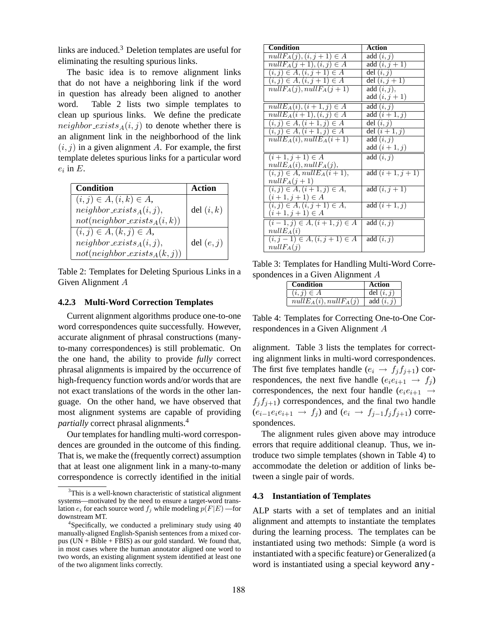links are induced.<sup>3</sup> Deletion templates are useful for eliminating the resulting spurious links.

The basic idea is to remove alignment links that do not have a neighboring link if the word in question has already been aligned to another word. Table 2 lists two simple templates to clean up spurious links. We define the predicate neighbor exists  $_A(i, j)$  to denote whether there is an alignment link in the neighborhood of the link  $(i, j)$  in a given alignment A. For example, the first template deletes spurious links for a particular word  $e_i$  in  $E$ .

| Condition                       | Action       |
|---------------------------------|--------------|
| $(i, j) \in A, (i, k) \in A,$   |              |
| $neighbor\_exists_A(i, j),$     | del $(i, k)$ |
| $not(neighbour\_exists_A(i,k))$ |              |
| $(i, j) \in A, (k, j) \in A,$   |              |
| $neighbor\_exists_A(i,j),$      | del $(e, j)$ |
| $not(neighbor\_exists_A(k,j))$  |              |

Table 2: Templates for Deleting Spurious Links in a Given Alignment A

## **4.2.3 Multi-Word Correction Templates**

Current alignment algorithms produce one-to-one word correspondences quite successfully. However, accurate alignment of phrasal constructions (manyto-many correspondences) is still problematic. On the one hand, the ability to provide *fully* correct phrasal alignments is impaired by the occurrence of high-frequency function words and/or words that are not exact translations of the words in the other language. On the other hand, we have observed that most alignment systems are capable of providing *partially* correct phrasal alignments.<sup>4</sup>

Our templates for handling multi-word correspondences are grounded in the outcome of this finding. That is, we make the (frequently correct) assumption that at least one alignment link in a many-to-many correspondence is correctly identified in the initial

| <b>Condition</b>                            | <b>Action</b>        |
|---------------------------------------------|----------------------|
| $nullF_A(j), (i, j+1) \in A$                | add $(i, j)$         |
| $nullF_A(j+1), (i,j) \in A$                 | add $(i, j + 1)$     |
| $(i, j) \in \overline{A, (i, j + 1)} \in A$ | del $(i, j)$         |
| $(i, j) \in A, (i, j + 1) \in A$            | del $(i, j + 1)$     |
| $nullF_A(j), nullF_A(j+1)$                  | add $(i, j)$ ,       |
|                                             | add $(i, j + 1)$     |
| $nullE_A(i), (i+1,j) \in A$                 | add $(i, j)$         |
| $nullE_A(i+1), (i,j) \in A$                 | add $(i+1, j)$       |
| $(i, j) \in A, (i + 1, j) \in A$            | del $(i, j)$         |
| $(i, j) \in A, (i + 1, j) \in A$            | del $(i + 1, i)$     |
| $nullE_A(i), nullE_A(i+1)$                  | add $(i, j)$         |
|                                             | add $(i+1, j)$       |
| $(i+1, j+1) \in A$                          | add $(i, j)$         |
| $nullE_A(i), nullF_A(j),$                   |                      |
| $(i, j) \in A$ , $nullE_A(i + 1)$ ,         | add $(i + 1, j + 1)$ |
| $nullF_A(j+1)$                              |                      |
| $(i, j) \in A, (i + 1, j) \in A,$           | add $(i, j + 1)$     |
| $(i + 1, j + 1) \in A$                      |                      |
| $(i, j) \in A, (i, j + 1) \in A,$           | add $(i+1, j)$       |
| $(i + 1, j + 1) \in A$                      |                      |
| $(i-1,j) \in A, (i+1,j) \in A$              | add $(i, j)$         |
| $nullE_A(i)$                                |                      |
| $(i, j - 1) \in A, (i, j + 1) \in A$        | add $(i, j)$         |
| $nullF_A(j)$                                |                      |

Table 3: Templates for Handling Multi-Word Correspondences in a Given Alignment A

| <b>Condition</b>         | Action       |
|--------------------------|--------------|
| $(i, j) \in A$           | del $(i, j)$ |
| $nullE_A(i), nullF_A(j)$ | add $(i, j)$ |

Table 4: Templates for Correcting One-to-One Correspondences in a Given Alignment A

alignment. Table 3 lists the templates for correcting alignment links in multi-word correspondences. The first five templates handle  $(e_i \rightarrow f_j f_{j+1})$  correspondences, the next five handle  $(e_i e_{i+1} \rightarrow f_i)$ correspondences, the next four handle  $(e_i e_{i+1} \rightarrow$  $f_j f_{j+1}$ ) correspondences, and the final two handle  $(e_{i-1}e_ie_{i+1} \rightarrow f_j)$  and  $(e_i \rightarrow f_{j-1}f_jf_{j+1})$  correspondences.

The alignment rules given above may introduce errors that require additional cleanup. Thus, we introduce two simple templates (shown in Table 4) to accommodate the deletion or addition of links between a single pair of words.

#### **4.3 Instantiation of Templates**

ALP starts with a set of templates and an initial alignment and attempts to instantiate the templates during the learning process. The templates can be instantiated using two methods: Simple (a word is instantiated with a specific feature) or Generalized (a word is instantiated using a special keyword any-

<sup>&</sup>lt;sup>3</sup>This is a well-known characteristic of statistical alignment systems—motivated by the need to ensure a target-word translation  $e_i$  for each source word  $f_j$  while modeling  $p(F|E)$  —for downstream MT.

<sup>&</sup>lt;sup>4</sup>Specifically, we conducted a preliminary study using 40 manually-aligned English-Spanish sentences from a mixed corpus  $(UN + Bible + FBIS)$  as our gold standard. We found that, in most cases where the human annotator aligned one word to two words, an existing alignment system identified at least one of the two alignment links correctly.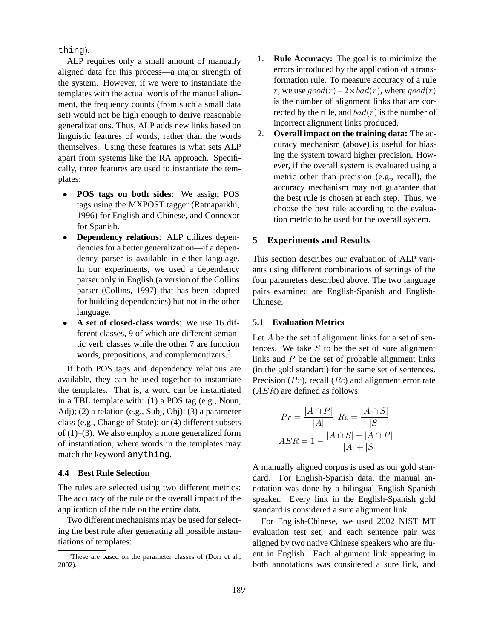thing).

ALP requires only a small amount of manually aligned data for this process—a major strength of the system. However, if we were to instantiate the templates with the actual words of the manual alignment, the frequency counts (from such a small data set) would not be high enough to derive reasonable generalizations. Thus, ALP adds new links based on linguistic features of words, rather than the words themselves. Using these features is what sets ALP apart from systems like the RA approach. Specifically, three features are used to instantiate the templates:

- **POS tags on both sides**: We assign POS tags using the MXPOST tagger (Ratnaparkhi, 1996) for English and Chinese, and Connexor for Spanish.
- **Dependency relations**: ALP utilizes dependencies for a better generalization—if a dependency parser is available in either language. In our experiments, we used a dependency parser only in English (a version of the Collins parser (Collins, 1997) that has been adapted for building dependencies) but not in the other language.
- **A set of closed-class words**: We use 16 different classes, 9 of which are different semantic verb classes while the other 7 are function words, prepositions, and complementizers.<sup>5</sup>

If both POS tags and dependency relations are available, they can be used together to instantiate the templates. That is, a word can be instantiated in a TBL template with: (1) a POS tag (e.g., Noun, Adj); (2) a relation (e.g., Subj, Obj); (3) a parameter class (e.g., Change of State); or (4) different subsets of  $(1)$ – $(3)$ . We also employ a more generalized form of instantiation, where words in the templates may match the keyword anything.

#### **4.4 Best Rule Selection**

The rules are selected using two different metrics: The accuracy of the rule or the overall impact of the application of the rule on the entire data.

Two different mechanisms may be used for selecting the best rule after generating all possible instantiations of templates:

- 1. **Rule Accuracy:** The goal is to minimize the errors introduced by the application of a transformation rule. To measure accuracy of a rule r, we use  $qood(r)-2\times bad(r)$ , where  $qood(r)$ is the number of alignment links that are corrected by the rule, and  $bad(r)$  is the number of incorrect alignment links produced.
- 2. **Overall impact on the training data:** The accuracy mechanism (above) is useful for biasing the system toward higher precision. However, if the overall system is evaluated using a metric other than precision (e.g., recall), the accuracy mechanism may not guarantee that the best rule is chosen at each step. Thus, we choose the best rule according to the evaluation metric to be used for the overall system.

## **5 Experiments and Results**

This section describes our evaluation of ALP variants using different combinations of settings of the four parameters described above. The two language pairs examined are English-Spanish and English-Chinese.

## **5.1 Evaluation Metrics**

Let  $A$  be the set of alignment links for a set of sentences. We take  $S$  to be the set of sure alignment links and  $P$  be the set of probable alignment links (in the gold standard) for the same set of sentences. Precision  $(Pr)$ , recall  $(Rc)$  and alignment error rate  $(AER)$  are defined as follows:

$$
Pr = \frac{|A \cap P|}{|A|} \quad Re = \frac{|A \cap S|}{|S|}
$$

$$
AER = 1 - \frac{|A \cap S| + |A \cap P|}{|A| + |S|}
$$

A manually aligned corpus is used as our gold standard. For English-Spanish data, the manual annotation was done by a bilingual English-Spanish speaker. Every link in the English-Spanish gold standard is considered a sure alignment link.

For English-Chinese, we used 2002 NIST MT evaluation test set, and each sentence pair was aligned by two native Chinese speakers who are fluent in English. Each alignment link appearing in both annotations was considered a sure link, and

<sup>&</sup>lt;sup>5</sup>These are based on the parameter classes of (Dorr et al., 2002).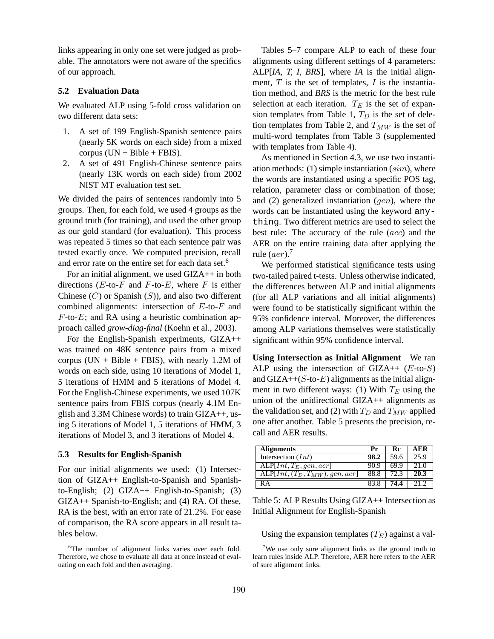links appearing in only one set were judged as probable. The annotators were not aware of the specifics of our approach.

#### **5.2 Evaluation Data**

We evaluated ALP using 5-fold cross validation on two different data sets:

- 1. A set of 199 English-Spanish sentence pairs (nearly 5K words on each side) from a mixed corpus  $(UN + Bible + FBIS)$ .
- 2. A set of 491 English-Chinese sentence pairs (nearly 13K words on each side) from 2002 NIST MT evaluation test set.

We divided the pairs of sentences randomly into 5 groups. Then, for each fold, we used 4 groups as the ground truth (for training), and used the other group as our gold standard (for evaluation). This process was repeated 5 times so that each sentence pair was tested exactly once. We computed precision, recall and error rate on the entire set for each data set.<sup>6</sup>

For an initial alignment, we used GIZA++ in both directions ( $E$ -to- $F$  and  $F$ -to- $E$ , where  $F$  is either Chinese  $(C)$  or Spanish  $(S)$ ), and also two different combined alignments: intersection of E-to-F and  $F$ -to- $E$ ; and RA using a heuristic combination approach called *grow-diag-final* (Koehn et al., 2003).

For the English-Spanish experiments, GIZA++ was trained on 48K sentence pairs from a mixed corpus (UN + Bible + FBIS), with nearly 1.2M of words on each side, using 10 iterations of Model 1, 5 iterations of HMM and 5 iterations of Model 4. For the English-Chinese experiments, we used 107K sentence pairs from FBIS corpus (nearly 4.1M English and 3.3M Chinese words) to train GIZA++, using 5 iterations of Model 1, 5 iterations of HMM, 3 iterations of Model 3, and 3 iterations of Model 4.

#### **5.3 Results for English-Spanish**

For our initial alignments we used: (1) Intersection of GIZA++ English-to-Spanish and Spanishto-English; (2) GIZA++ English-to-Spanish; (3) GIZA++ Spanish-to-English; and (4) RA. Of these, RA is the best, with an error rate of 21.2%. For ease of comparison, the RA score appears in all result tables below.

Tables 5–7 compare ALP to each of these four alignments using different settings of 4 parameters: ALP[*IA, T, I, BRS*], where *IA* is the initial alignment,  $T$  is the set of templates,  $I$  is the instantiation method, and *BRS* is the metric for the best rule selection at each iteration.  $T_E$  is the set of expansion templates from Table 1,  $T_D$  is the set of deletion templates from Table 2, and  $T_{MW}$  is the set of multi-word templates from Table 3 (supplemented with templates from Table 4).

As mentioned in Section 4.3, we use two instantiation methods: (1) simple instantiation  $(sim)$ , where the words are instantiated using a specific POS tag, relation, parameter class or combination of those; and  $(2)$  generalized instantiation  $(qen)$ , where the words can be instantiated using the keyword anything. Two different metrics are used to select the best rule: The accuracy of the rule (acc) and the AER on the entire training data after applying the rule  $(aer).<sup>7</sup>$ 

We performed statistical significance tests using two-tailed paired t-tests. Unless otherwise indicated, the differences between ALP and initial alignments (for all ALP variations and all initial alignments) were found to be statistically significant within the 95% confidence interval. Moreover, the differences among ALP variations themselves were statistically significant within 95% confidence interval.

**Using Intersection as Initial Alignment** We ran ALP using the intersection of GIZA++  $(E$ -to- $S)$ and  $GLA++(S-to-E)$  alignments as the initial alignment in two different ways: (1) With  $T_E$  using the union of the unidirectional GIZA++ alignments as the validation set, and (2) with  $T_D$  and  $T_{MW}$  applied one after another. Table 5 presents the precision, recall and AER results.

| <b>Alignments</b>                                  | Рr   | -Re  | A E R |
|----------------------------------------------------|------|------|-------|
| Intersection $(Int)$                               | 98.2 | 59.6 | 25.9  |
| $ALP[Int, T_E, qen, aer]$                          | 90 Y | 69.9 | 21.0  |
| $\overline{\text{ALP}[Int,(T_D,T_{MW}),gen, aer]}$ | 88.8 |      | 20.3  |
| KΑ                                                 |      | 74.4 | 212   |

Table 5: ALP Results Using GIZA++ Intersection as Initial Alignment for English-Spanish

Using the expansion templates  $(T_E)$  against a val-

<sup>&</sup>lt;sup>6</sup>The number of alignment links varies over each fold. Therefore, we chose to evaluate all data at once instead of evaluating on each fold and then averaging.

<sup>&</sup>lt;sup>7</sup>We use only sure alignment links as the ground truth to learn rules inside ALP. Therefore, AER here refers to the AER of sure alignment links.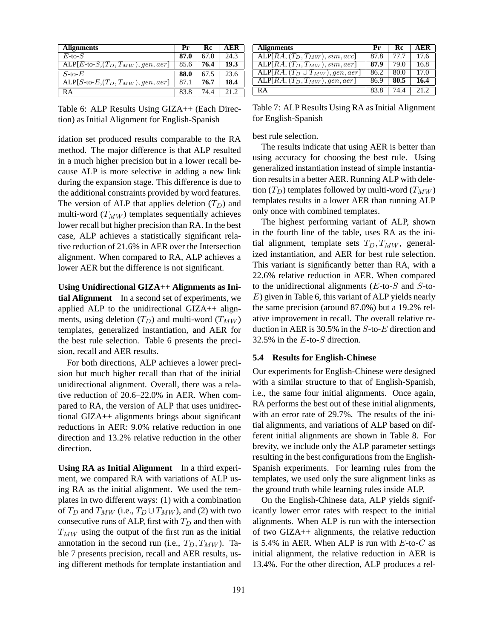| <b>Alignments</b>                                            | Pr   | Rc   | AER  |
|--------------------------------------------------------------|------|------|------|
| $E$ -to- $S$                                                 | 87.0 | 67.0 | 24.3 |
| $\overline{\text{ALP}[E\text{-to-}S,(T_D,T_{MW}),gen, aer]}$ | 85.6 | 76.4 | 19.3 |
| $S$ -to- $E$                                                 | 88.0 | 67.5 | 23.6 |
| $ALP[S-to-E,(T_D,T_{MW}),gen, aer]$                          | 87.1 | 76.7 | 18.4 |
| RА                                                           | 83.8 | 74.4 | 21.2 |

Table 6: ALP Results Using GIZA++ (Each Direction) as Initial Alignment for English-Spanish

idation set produced results comparable to the RA method. The major difference is that ALP resulted in a much higher precision but in a lower recall because ALP is more selective in adding a new link during the expansion stage. This difference is due to the additional constraints provided by word features. The version of ALP that applies deletion  $(T_D)$  and multi-word  $(T_{MW})$  templates sequentially achieves lower recall but higher precision than RA. In the best case, ALP achieves a statistically significant relative reduction of 21.6% in AER over the Intersection alignment. When compared to RA, ALP achieves a lower AER but the difference is not significant.

**Using Unidirectional GIZA++ Alignments as Initial Alignment** In a second set of experiments, we applied ALP to the unidirectional GIZA++ alignments, using deletion  $(T_D)$  and multi-word  $(T_{MW})$ templates, generalized instantiation, and AER for the best rule selection. Table 6 presents the precision, recall and AER results.

For both directions, ALP achieves a lower precision but much higher recall than that of the initial unidirectional alignment. Overall, there was a relative reduction of 20.6–22.0% in AER. When compared to RA, the version of ALP that uses unidirectional GIZA++ alignments brings about significant reductions in AER: 9.0% relative reduction in one direction and 13.2% relative reduction in the other direction.

**Using RA as Initial Alignment** In a third experiment, we compared RA with variations of ALP using RA as the initial alignment. We used the templates in two different ways: (1) with a combination of  $T_D$  and  $T_{MW}$  (i.e.,  $T_D \cup T_{MW}$ ), and (2) with two consecutive runs of ALP, first with  $T_D$  and then with  $T_{MW}$  using the output of the first run as the initial annotation in the second run (i.e.,  $T_D, T_{MW}$ ). Table 7 presents precision, recall and AER results, using different methods for template instantiation and

| <b>Alignments</b>                                | Pr   | Rc   | A E.R |
|--------------------------------------------------|------|------|-------|
| $\overline{\text{ALP}[RA,(T_D,T_{MW}),sim,acc]}$ | 87.8 | 77.7 | 17.6  |
| $\overline{\text{ALP}[RA,(T_D,T_{MW}),sim,aer]}$ | 87.9 | 79.0 | 16.8  |
| $ALP[RA, (T_D \cup T_{MW}), gen, aer]$           | 86.2 | 80.0 | 17.0  |
| $ALP[RA, (T_D, T_{MW}), gen, aer]$               | 86.9 | 80.5 | 16.4  |
| RА                                               | 83 8 |      | 21.2  |

Table 7: ALP Results Using RA as Initial Alignment for English-Spanish

best rule selection.

The results indicate that using AER is better than using accuracy for choosing the best rule. Using generalized instantiation instead of simple instantiation results in a better AER. Running ALP with deletion  $(T_D)$  templates followed by multi-word  $(T_{MW})$ templates results in a lower AER than running ALP only once with combined templates.

The highest performing variant of ALP, shown in the fourth line of the table, uses RA as the initial alignment, template sets  $T_D, T_{MW}$ , generalized instantiation, and AER for best rule selection. This variant is significantly better than RA, with a 22.6% relative reduction in AER. When compared to the unidirectional alignments ( $E$ -to- $S$  and  $S$ -to-E) given in Table 6, this variant of ALP yields nearly the same precision (around 87.0%) but a 19.2% relative improvement in recall. The overall relative reduction in AER is 30.5% in the  $S$ -to- $E$  direction and 32.5% in the E-to-S direction.

#### **5.4 Results for English-Chinese**

Our experiments for English-Chinese were designed with a similar structure to that of English-Spanish, i.e., the same four initial alignments. Once again, RA performs the best out of these initial alignments, with an error rate of 29.7%. The results of the initial alignments, and variations of ALP based on different initial alignments are shown in Table 8. For brevity, we include only the ALP parameter settings resulting in the best configurations from the English-Spanish experiments. For learning rules from the templates, we used only the sure alignment links as the ground truth while learning rules inside ALP.

On the English-Chinese data, ALP yields significantly lower error rates with respect to the initial alignments. When ALP is run with the intersection of two GIZA++ alignments, the relative reduction is 5.4% in AER. When ALP is run with  $E$ -to- $C$  as initial alignment, the relative reduction in AER is 13.4%. For the other direction, ALP produces a rel-